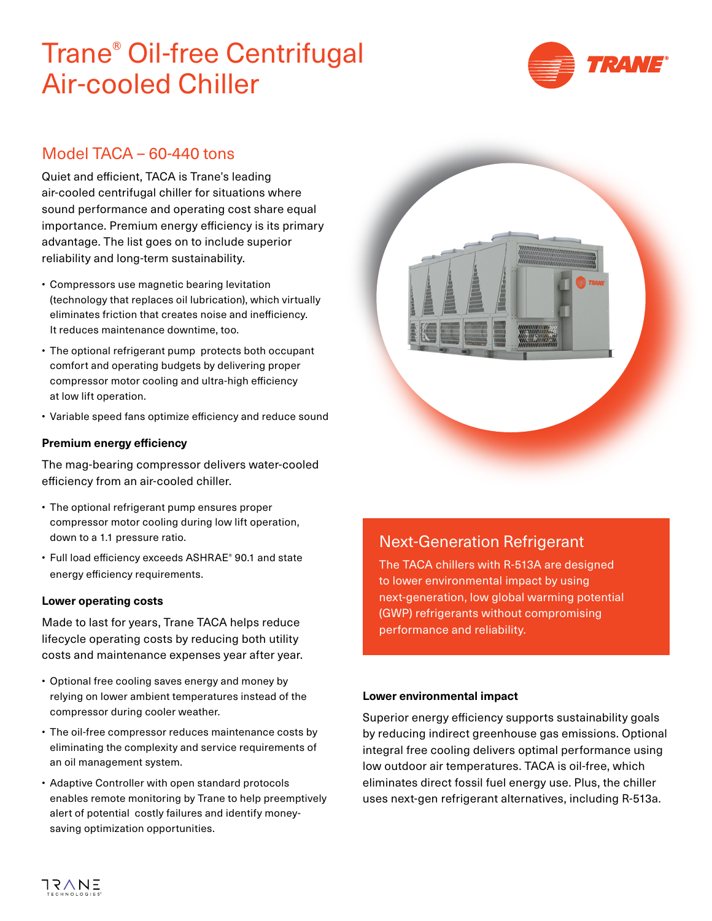# Trane® Oil-free Centrifugal Air-cooled Chiller



### Model TACA – 60-440 tons

Quiet and efficient, TACA is Trane's leading air-cooled centrifugal chiller for situations where sound performance and operating cost share equal importance. Premium energy efficiency is its primary advantage. The list goes on to include superior reliability and long-term sustainability.

- Compressors use magnetic bearing levitation (technology that replaces oil lubrication), which virtually eliminates friction that creates noise and inefficiency. It reduces maintenance downtime, too.
- The optional refrigerant pump protects both occupant comfort and operating budgets by delivering proper compressor motor cooling and ultra-high efficiency at low lift operation.
- Variable speed fans optimize efficiency and reduce sound

### **Premium energy efficiency**

The mag-bearing compressor delivers water-cooled efficiency from an air-cooled chiller.

- The optional refrigerant pump ensures proper compressor motor cooling during low lift operation, down to a 1.1 pressure ratio.
- Full load efficiency exceeds ASHRAE® 90.1 and state energy efficiency requirements.

#### **Lower operating costs**

Made to last for years, Trane TACA helps reduce lifecycle operating costs by reducing both utility costs and maintenance expenses year after year.

- Optional free cooling saves energy and money by relying on lower ambient temperatures instead of the compressor during cooler weather.
- The oil-free compressor reduces maintenance costs by eliminating the complexity and service requirements of an oil management system.
- Adaptive Controller with open standard protocols enables remote monitoring by Trane to help preemptively alert of potential costly failures and identify moneysaving optimization opportunities.



### Next-Generation Refrigerant

The TACA chillers with R-513A are designed to lower environmental impact by using next-generation, low global warming potential (GWP) refrigerants without compromising performance and reliability.

#### **Lower environmental impact**

Superior energy efficiency supports sustainability goals by reducing indirect greenhouse gas emissions. Optional integral free cooling delivers optimal performance using low outdoor air temperatures. TACA is oil-free, which eliminates direct fossil fuel energy use. Plus, the chiller uses next-gen refrigerant alternatives, including R-513a.